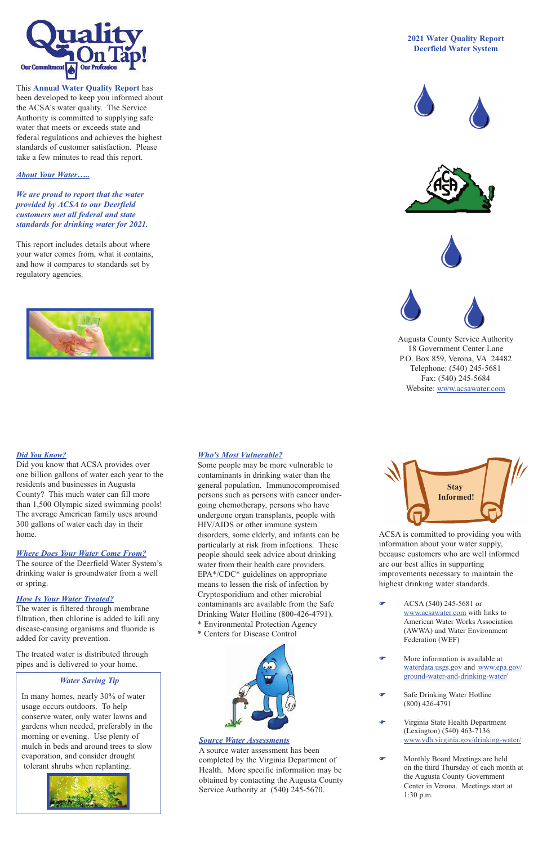#### *Where Does Your Water Come From?*

The source of the Deerfield Water System's drinking water is groundwater from a well or spring.

#### *How Is Your Water Treated?*

The water is filtered through membrane filtration, then chlorine is added to kill any disease-causing organisms and fluoride is added for cavity prevention.

The treated water is distributed through pipes and is delivered to your home.

## *Who's Most Vulnerable?*

Some people may be more vulnerable to contaminants in drinking water than the general population. Immunocompromised persons such as persons with cancer undergoing chemotherapy, persons who have undergone organ transplants, people with HIV/AIDS or other immune system disorders, some elderly, and infants can be particularly at risk from infections. These people should seek advice about drinking water from their health care providers. EPA\*/CDC\* guidelines on appropriate means to lessen the risk of infection by Cryptosporidium and other microbial contaminants are available from the Safe Drinking Water Hotline (800-426-4791).

 $\bullet$  ACSA (540) 245-5681 or www.acsawater.com with links to American Water Works Association (AWWA) and Water Environment Federation (WEF)

\* Environmental Protection Agency \* Centers for Disease Control



ACSA is committed to providing you with information about your water supply, because customers who are well informed are our best allies in supporting improvements necessary to maintain the highest drinking water standards.

- F More information is available at waterdata.usgs.gov and www.epa.gov/ ground-water-and-drinking-water/
- **F** Safe Drinking Water Hotline (800) 426-4791
- Virginia State Health Department (Lexington) (540) 463-7136 www.vdh.virginia.gov/drinking-water/
- F Monthly Board Meetings are held on the third Thursday of each month at the Augusta County Government Center in Verona. Meetings start at 1:30 p.m.

# **2021 Water Quality Report Deerfield Water System**









Augusta County Service Authority 18 Government Center Lane P.O. Box 859, Verona, VA 24482 Telephone: (540) 245-5681 Fax: (540) 245-5684 Website: www.acsawater.com



## *Source Water Assessments*

A source water assessment has been completed by the Virginia Department of Health. More specific information may be obtained by contacting the Augusta County Service Authority at (540) 245-5670.

# *About Your Water…..*

*We are proud to report that the water provided by ACSA to our Deerfield customers met all federal and state standards for drinking water for 2021.* 

This report includes details about where your water comes from, what it contains, and how it compares to standards set by regulatory agencies.





This **Annual Water Quality Report** has been developed to keep you informed about the ACSA's water quality. The Service Authority is committed to supplying safe water that meets or exceeds state and federal regulations and achieves the highest standards of customer satisfaction. Please take a few minutes to read this report.

# *Water Saving Tip*

In many homes, nearly 30% of water usage occurs outdoors. To help conserve water, only water lawns and gardens when needed, preferably in the morning or evening. Use plenty of mulch in beds and around trees to slow evaporation, and consider drought tolerant shrubs when replanting.



#### *Did You Know?*

Did you know that ACSA provides over one billion gallons of water each year to the residents and businesses in Augusta County? This much water can fill more than 1,500 Olympic sized swimming pools! The average American family uses around 300 gallons of water each day in their home.